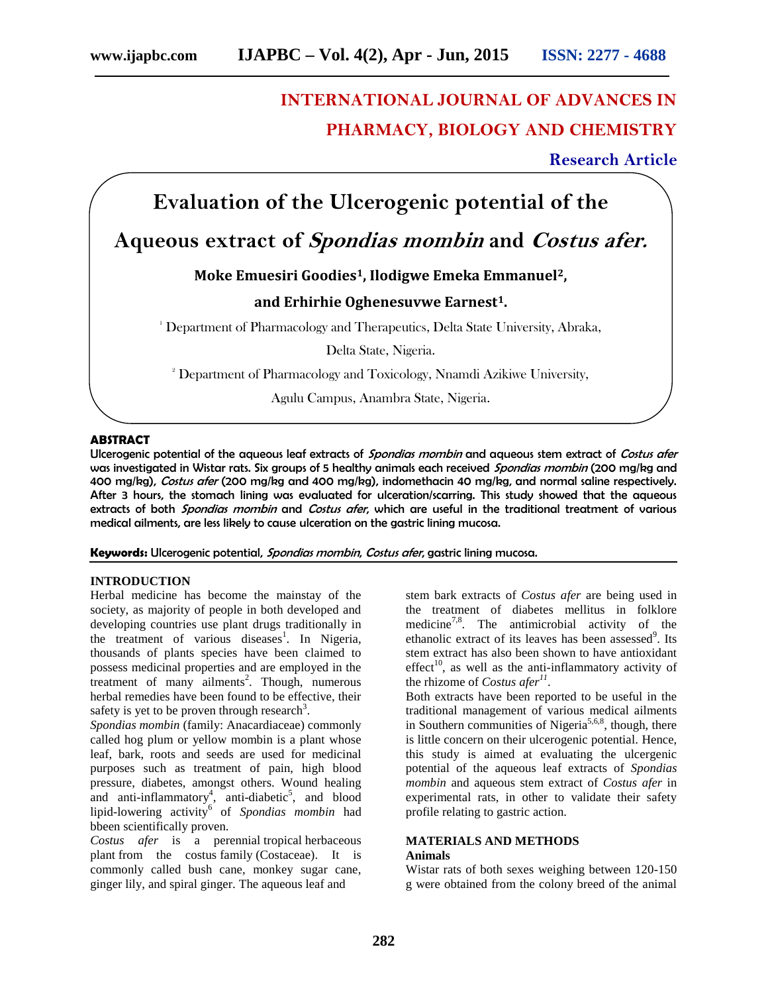# **INTERNATIONAL JOURNAL OF ADVANCES IN PHARMACY, BIOLOGY AND CHEMISTRY**

**Research Article**

## **Evaluation of the Ulcerogenic potential of the**

## **Aqueous extract of** *Spondias mombin* **and** *Costus afer.*

## **Moke Emuesiri Goodies1, Ilodigwe Emeka Emmanuel2,**

## **and Erhirhie Oghenesuvwe Earnest1.**

<sup>1</sup> Department of Pharmacology and Therapeutics, Delta State University, Abraka,

Delta State, Nigeria.

<sup>2</sup> Department of Pharmacology and Toxicology, Nnamdi Azikiwe University,

Agulu Campus, Anambra State, Nigeria.

## **ABSTRACT**

Ulcerogenic potential of the aqueous leaf extracts of *Spondias mombin* and aqueous stem extract of *Costus afer* was investigated in Wistar rats. Six groups of 5 healthy animals each received *Spondias mombin* (200 mg/kg and 400 mg/kg), *Costus afer* (200 mg/kg and 400 mg/kg), indomethacin 40 mg/kg, and normal saline respectively. After 3 hours, the stomach lining was evaluated for ulceration/scarring. This study showed that the aqueous extracts of both *Spondias mombin* and *Costus afer*, which are useful in the traditional treatment of various medical ailments, are less likely to cause ulceration on the gastric lining mucosa.

**Keywords:** Ulcerogenic potential, *Spondias mombin*, *Costus afer*, gastric lining mucosa.

## **INTRODUCTION**

Herbal medicine has become the mainstay of the society, as majority of people in both developed and developing countries use plant drugs traditionally in the treatment of various diseases<sup>1</sup>. In Nigeria, thousands of plants species have been claimed to possess medicinal properties and are employed in the  $t$  reatment of many ailments<sup>2</sup>. Though, numerous herbal remedies have been found to be effective, their safety is yet to be proven through research<sup>3</sup>.

*Spondias mombin* (family: Anacardiaceae) commonly called hog plum or yellow mombin is a plant whose leaf, bark, roots and seeds are used for medicinal purposes such as treatment of pain, high blood pressure, diabetes, amongst others. Wound healing and anti-inflammatory<sup>4</sup>, anti-diabetic<sup>5</sup>, and blood lipid-lowering activity<sup>6</sup> of *Spondias mombin* had bbeen scientifically proven.

*Costus afer* is a perennial tropical herbaceous plant from the costus family (Costaceae). It is commonly called bush cane, monkey sugar cane, ginger lily, and spiral ginger. The aqueous leaf and

stem bark extracts of *Costus afer* are being used in the treatment of diabetes mellitus in folklore medicine<sup>7,8</sup>. The antimicrobial activity of the ethanolic extract of its leaves has been assessed<sup>9</sup>. Its stem extract has also been shown to have antioxidant effect<sup>10</sup>, as well as the anti-inflammatory activity of the rhizome of *Costus afer<sup>11</sup>* .

Both extracts have been reported to be useful in the traditional management of various medical ailments in Southern communities of Nigeria<sup>5,6,8</sup>, though, there is little concern on their ulcerogenic potential. Hence, this study is aimed at evaluating the ulcergenic potential of the aqueous leaf extracts of *Spondias mombin* and aqueous stem extract of *Costus afer* in experimental rats, in other to validate their safety profile relating to gastric action.

#### **MATERIALS AND METHODS Animals**

Wistar rats of both sexes weighing between 120-150 g were obtained from the colony breed of the animal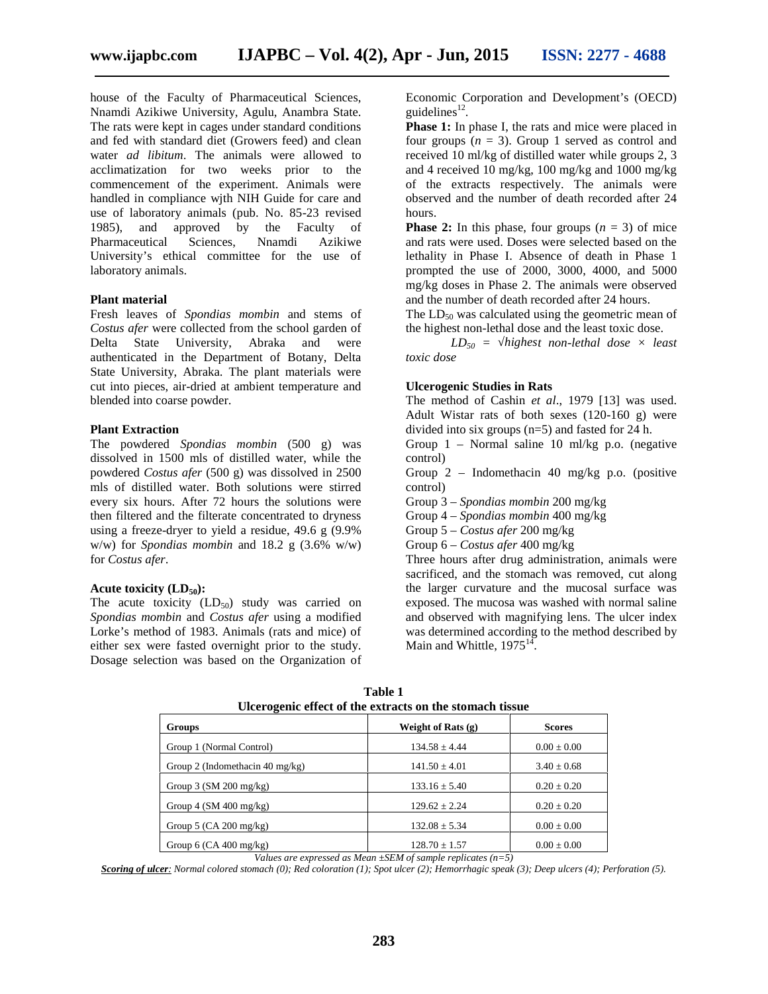house of the Faculty of Pharmaceutical Sciences, Nnamdi Azikiwe University, Agulu, Anambra State. The rats were kept in cages under standard conditions and fed with standard diet (Growers feed) and clean water *ad libitum*. The animals were allowed to acclimatization for two weeks prior to the commencement of the experiment. Animals were handled in compliance wjth NIH Guide for care and use of laboratory animals (pub. No. 85-23 revised 1985), and approved by the Faculty of Pharmaceutical Sciences, Nnamdi Azikiwe University's ethical committee for the use of laboratory animals.

#### **Plant material**

Fresh leaves of *Spondias mombin* and stems of *Costus afer* were collected from the school garden of Delta State University, Abraka and were authenticated in the Department of Botany, Delta State University, Abraka. The plant materials were cut into pieces, air-dried at ambient temperature and blended into coarse powder.

#### **Plant Extraction**

The powdered *Spondias mombin* (500 g) was dissolved in 1500 mls of distilled water, while the powdered *Costus afer* (500 g) was dissolved in 2500 mls of distilled water. Both solutions were stirred every six hours. After 72 hours the solutions were then filtered and the filterate concentrated to dryness using a freeze-dryer to yield a residue, 49.6 g (9.9% w/w) for *Spondias mombin* and 18.2 g (3.6% w/w) for *Costus afer*.

#### Acute toxicity (LD<sub>50</sub>):

The acute toxicity  $(LD_{50})$  study was carried on *Spondias mombin* and *Costus afer* using a modified Lorke's method of 1983. Animals (rats and mice) of either sex were fasted overnight prior to the study. Dosage selection was based on the Organization of Economic Corporation and Development's (OECD) guidelines $^{12}$ . .

**Phase 1:** In phase I, the rats and mice were placed in four groups  $(n = 3)$ . Group 1 served as control and received 10 ml/kg of distilled water while groups 2, 3 and 4 received 10 mg/kg, 100 mg/kg and 1000 mg/kg of the extracts respectively. The animals were observed and the number of death recorded after 24 hours.

**Phase 2:** In this phase, four groups  $(n = 3)$  of mice and rats were used. Doses were selected based on the lethality in Phase I. Absence of death in Phase 1 prompted the use of 2000, 3000, 4000, and 5000 mg/kg doses in Phase 2. The animals were observed and the number of death recorded after 24 hours.

The  $LD_{50}$  was calculated using the geometric mean of the highest non-lethal dose and the least toxic dose.

 $LD_{50}$  = *highest non-lethal dose* × *least toxic dose*

#### **Ulcerogenic Studies in Rats**

The method of Cashin *et al*., 1979 [13] was used. Adult Wistar rats of both sexes (120-160 g) were divided into six groups (n=5) and fasted for 24 h.

Group 1 – Normal saline 10 ml/kg p.o. (negative control)

Group 2 – Indomethacin 40 mg/kg p.o. (positive control)

Group 3 – *Spondias mombin* 200 mg/kg

Group 4 – *Spondias mombin* 400 mg/kg

Group 5 – *Costus afer* 200 mg/kg

Group 6 – *Costus afer* 400 mg/kg

Three hours after drug administration, animals were sacrificed, and the stomach was removed, cut along the larger curvature and the mucosal surface was exposed. The mucosa was washed with normal saline and observed with magnifying lens. The ulcer index was determined according to the method described by Main and Whittle,  $1975^{14}$ .

| Ulcerogenic effect of the extracts on the stomach tissue |                      |                 |
|----------------------------------------------------------|----------------------|-----------------|
| Groups                                                   | Weight of Rats $(g)$ | <b>Scores</b>   |
| Group 1 (Normal Control)                                 | $134.58 \pm 4.44$    | $0.00 \pm 0.00$ |
| Group 2 (Indomethacin 40 mg/kg)                          | $141.50 \pm 4.01$    | $3.40 \pm 0.68$ |
| Group $3$ (SM 200 mg/kg)                                 | $133.16 \pm 5.40$    | $0.20 \pm 0.20$ |
| Group 4 $(SM 400$ mg/kg)                                 | $129.62 \pm 2.24$    | $0.20 \pm 0.20$ |
| Group 5 $(CA 200$ mg/kg)                                 | $132.08 \pm 5.34$    | $0.00 \pm 0.00$ |
| Group 6 $(CA 400$ mg/kg)                                 | $128.70 \pm 1.57$    | $0.00 \pm 0.00$ |

**Table 1 Ulcerogenic effect of the extracts on the stomach tissue**

*Values are expressed as Mean ±SEM of sample replicates (n=5)*

*Scoring of ulcer: Normal colored stomach (0); Red coloration (1); Spot ulcer (2); Hemorrhagic speak (3); Deep ulcers (4); Perforation (5).*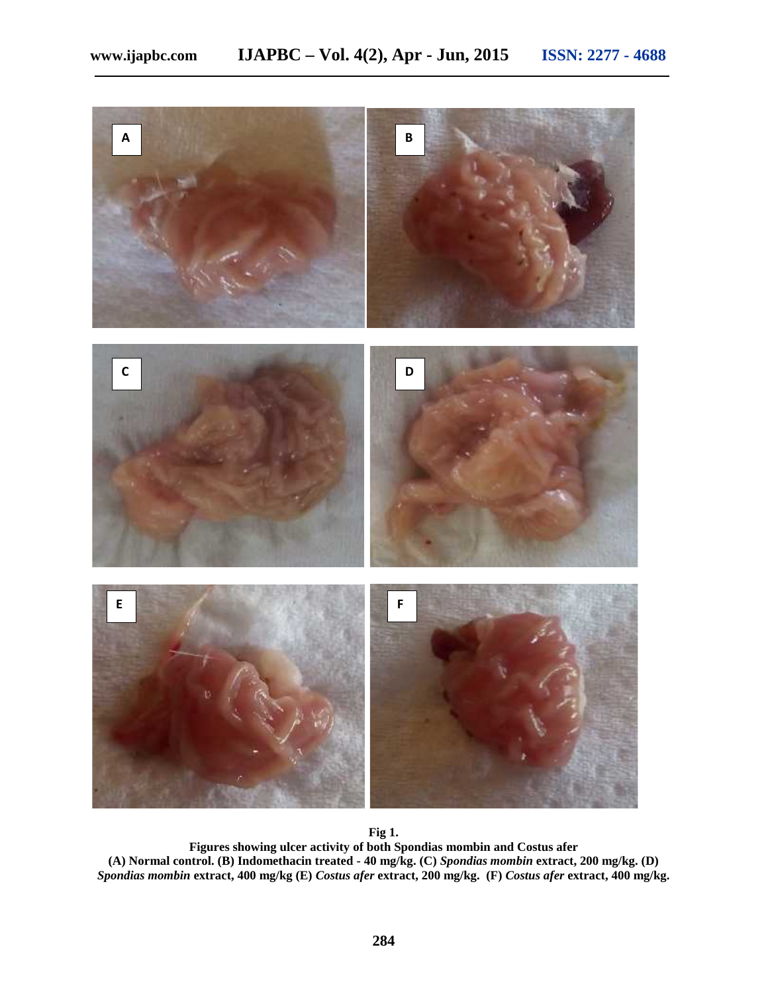

**Fig 1.**

**Figures showing ulcer activity of both Spondias mombin and Costus afer (A) Normal control. (B) Indomethacin treated - 40 mg/kg. (C)** *Spondias mombin* **extract, 200 mg/kg. (D)** *Spondias mombin* **extract, 400 mg/kg (E)** *Costus afer* **extract, 200 mg/kg. (F)** *Costus afer* **extract, 400 mg/kg.**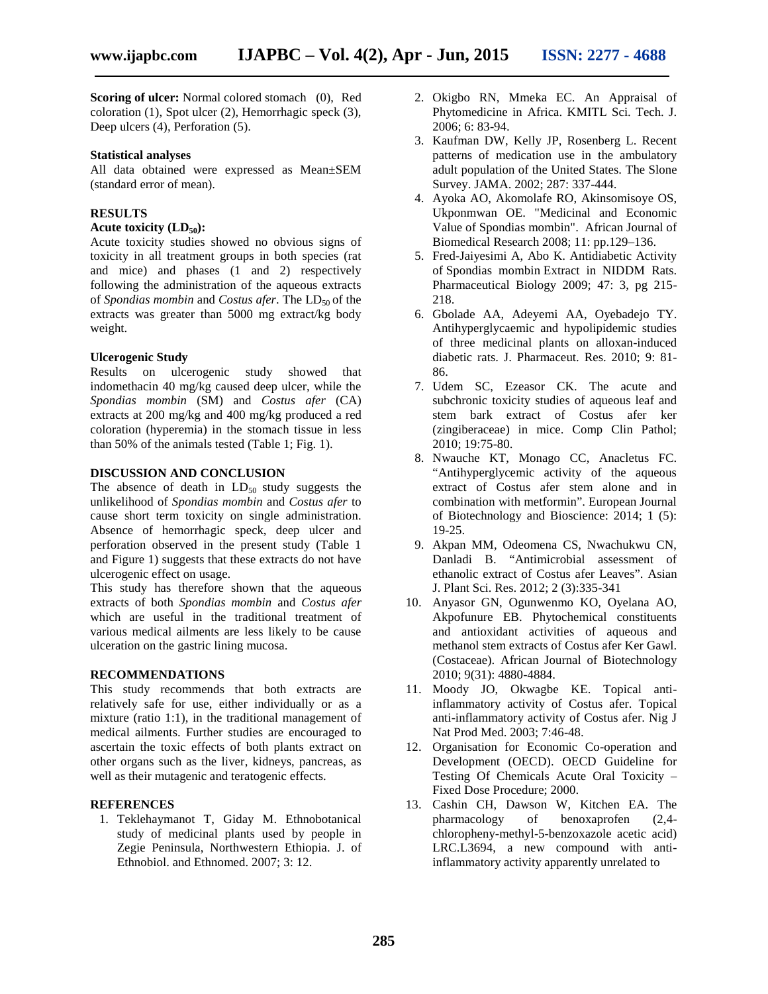**Scoring of ulcer:** Normal colored stomach (0), Red coloration (1), Spot ulcer (2), Hemorrhagic speck (3), Deep ulcers (4), Perforation (5).

#### **Statistical analyses**

All data obtained were expressed as Mean±SEM (standard error of mean).

#### **RESULTS**

## **Acute toxicity (LD50):**

Acute toxicity studies showed no obvious signs of toxicity in all treatment groups in both species (rat and mice) and phases (1 and 2) respectively following the administration of the aqueous extracts of *Spondias mombin* and *Costus afer*. The LD<sub>50</sub> of the extracts was greater than 5000 mg extract/kg body weight.

#### **Ulcerogenic Study**

Results on ulcerogenic study showed that indomethacin 40 mg/kg caused deep ulcer, while the *Spondias mombin* (SM) and *Costus afer* (CA) extracts at 200 mg/kg and 400 mg/kg produced a red coloration (hyperemia) in the stomach tissue in less than 50% of the animals tested (Table 1; Fig. 1).

#### **DISCUSSION AND CONCLUSION**

The absence of death in  $LD_{50}$  study suggests the unlikelihood of *Spondias mombin* and *Costus afer* to cause short term toxicity on single administration. Absence of hemorrhagic speck, deep ulcer and perforation observed in the present study (Table 1 and Figure 1) suggests that these extracts do not have ulcerogenic effect on usage.

This study has therefore shown that the aqueous extracts of both *Spondias mombin* and *Costus afer* which are useful in the traditional treatment of various medical ailments are less likely to be cause ulceration on the gastric lining mucosa.

#### **RECOMMENDATIONS**

This study recommends that both extracts are relatively safe for use, either individually or as a mixture (ratio 1:1), in the traditional management of medical ailments. Further studies are encouraged to ascertain the toxic effects of both plants extract on other organs such as the liver, kidneys, pancreas, as well as their mutagenic and teratogenic effects.

#### **REFERENCES**

1. Teklehaymanot T, Giday M. Ethnobotanical study of medicinal plants used by people in Zegie Peninsula, Northwestern Ethiopia. J. of Ethnobiol. and Ethnomed. 2007; 3: 12.

- 2. Okigbo RN, Mmeka EC. An Appraisal of Phytomedicine in Africa. KMITL Sci. Tech. J. 2006; 6: 83-94.
- 3. Kaufman DW, Kelly JP, Rosenberg L. Recent patterns of medication use in the ambulatory adult population of the United States. The Slone Survey. JAMA. 2002; 287: 337-444.
- 4. Ayoka AO, Akomolafe RO, Akinsomisoye OS, Ukponmwan OE. "Medicinal and Economic Value of Spondias mombin". African Journal of Biomedical Research 2008; 11: pp.129–136.
- 5. Fred-Jaiyesimi A, Abo K. Antidiabetic Activity of Spondias mombin Extract in NIDDM Rats. Pharmaceutical Biology 2009; 47: 3, pg 215- 218.
- 6. Gbolade AA, Adeyemi AA, Oyebadejo TY. Antihyperglycaemic and hypolipidemic studies of three medicinal plants on alloxan-induced diabetic rats. J. Pharmaceut. Res. 2010; 9: 81- 86.
- 7. Udem SC, Ezeasor CK. The acute and subchronic toxicity studies of aqueous leaf and stem bark extract of Costus afer ker (zingiberaceae) in mice. Comp Clin Pathol; 2010; 19:75-80.
- 8. Nwauche KT, Monago CC, Anacletus FC. "Antihyperglycemic activity of the aqueous extract of Costus afer stem alone and in combination with metformin". European Journal of Biotechnology and Bioscience: 2014; 1 (5): 19-25.
- 9. Akpan MM, Odeomena CS, Nwachukwu CN, Danladi B. "Antimicrobial assessment of ethanolic extract of Costus afer Leaves". Asian J. Plant Sci. Res. 2012; 2 (3):335-341
- 10. Anyasor GN, Ogunwenmo KO, Oyelana AO, Akpofunure EB. Phytochemical constituents and antioxidant activities of aqueous and methanol stem extracts of Costus afer Ker Gawl. (Costaceae). African Journal of Biotechnology 2010; 9(31): 4880-4884.
- 11. Moody JO, Okwagbe KE. Topical antiinflammatory activity of Costus afer. Topical anti-inflammatory activity of Costus afer. Nig J Nat Prod Med. 2003; 7:46-48.
- 12. Organisation for Economic Co-operation and Development (OECD). OECD Guideline for Testing Of Chemicals Acute Oral Toxicity – Fixed Dose Procedure; 2000.
- 13. Cashin CH, Dawson W, Kitchen EA. The pharmacology of benoxaprofen (2,4 chloropheny-methyl-5-benzoxazole acetic acid) LRC.L3694, a new compound with antiinflammatory activity apparently unrelated to